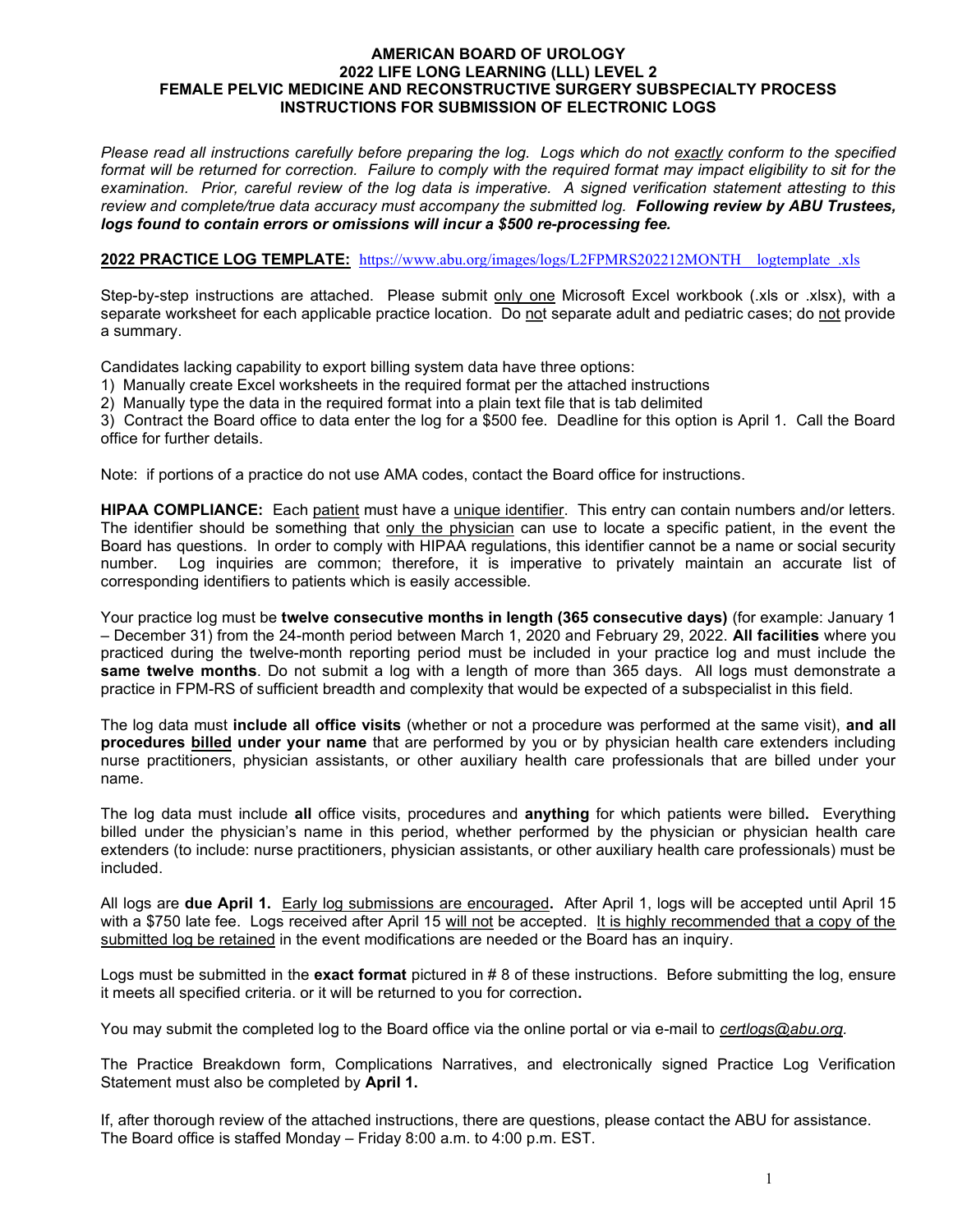#### AMERICAN BOARD OF UROLOGY 2022 LIFE LONG LEARNING (LLL) LEVEL 2 FEMALE PELVIC MEDICINE AND RECONSTRUCTIVE SURGERY SUBSPECIALTY PROCESS INSTRUCTIONS FOR SUBMISSION OF ELECTRONIC LOGS

Please read all instructions carefully before preparing the log. Logs which do not exactly conform to the specified format will be returned for correction. Failure to comply with the required format may impact eligibility to sit for the examination. Prior, careful review of the log data is imperative. A signed verification statement attesting to this review and complete/true data accuracy must accompany the submitted log. Following review by ABU Trustees, logs found to contain errors or omissions will incur a \$500 re-processing fee.

#### 2022 PRACTICE LOG TEMPLATE: https://www.abu.org/images/logs/L2FPMRS202212MONTH\_logtemplate\_.xls

Step-by-step instructions are attached. Please submit only one Microsoft Excel workbook (.xls or .xlsx), with a separate worksheet for each applicable practice location. Do not separate adult and pediatric cases; do not provide a summary.

Candidates lacking capability to export billing system data have three options:

1) Manually create Excel worksheets in the required format per the attached instructions

2) Manually type the data in the required format into a plain text file that is tab delimited

3) Contract the Board office to data enter the log for a \$500 fee. Deadline for this option is April 1. Call the Board office for further details.

Note: if portions of a practice do not use AMA codes, contact the Board office for instructions.

HIPAA COMPLIANCE: Each patient must have a unique identifier. This entry can contain numbers and/or letters. The identifier should be something that only the physician can use to locate a specific patient, in the event the Board has questions. In order to comply with HIPAA regulations, this identifier cannot be a name or social security number. Log inquiries are common; therefore, it is imperative to privately maintain an accurate list of corresponding identifiers to patients which is easily accessible.

Your practice log must be twelve consecutive months in length (365 consecutive days) (for example: January 1 – December 31) from the 24-month period between March 1, 2020 and February 29, 2022. All facilities where you practiced during the twelve-month reporting period must be included in your practice log and must include the same twelve months. Do not submit a log with a length of more than 365 days. All logs must demonstrate a practice in FPM-RS of sufficient breadth and complexity that would be expected of a subspecialist in this field.

The log data must include all office visits (whether or not a procedure was performed at the same visit), and all procedures billed under your name that are performed by you or by physician health care extenders including nurse practitioners, physician assistants, or other auxiliary health care professionals that are billed under your name.

The log data must include all office visits, procedures and anything for which patients were billed. Everything billed under the physician's name in this period, whether performed by the physician or physician health care extenders (to include: nurse practitioners, physician assistants, or other auxiliary health care professionals) must be included.

All logs are **due April 1.** Early log submissions are encouraged. After April 1, logs will be accepted until April 15 with a \$750 late fee. Logs received after April 15 will not be accepted. It is highly recommended that a copy of the submitted log be retained in the event modifications are needed or the Board has an inquiry.

Logs must be submitted in the exact format pictured in  $#8$  of these instructions. Before submitting the log, ensure it meets all specified criteria. or it will be returned to you for correction.

You may submit the completed log to the Board office via the online portal or via e-mail to certlogs@abu.org.

The Practice Breakdown form, Complications Narratives, and electronically signed Practice Log Verification Statement must also be completed by April 1.

If, after thorough review of the attached instructions, there are questions, please contact the ABU for assistance. The Board office is staffed Monday – Friday 8:00 a.m. to 4:00 p.m. EST.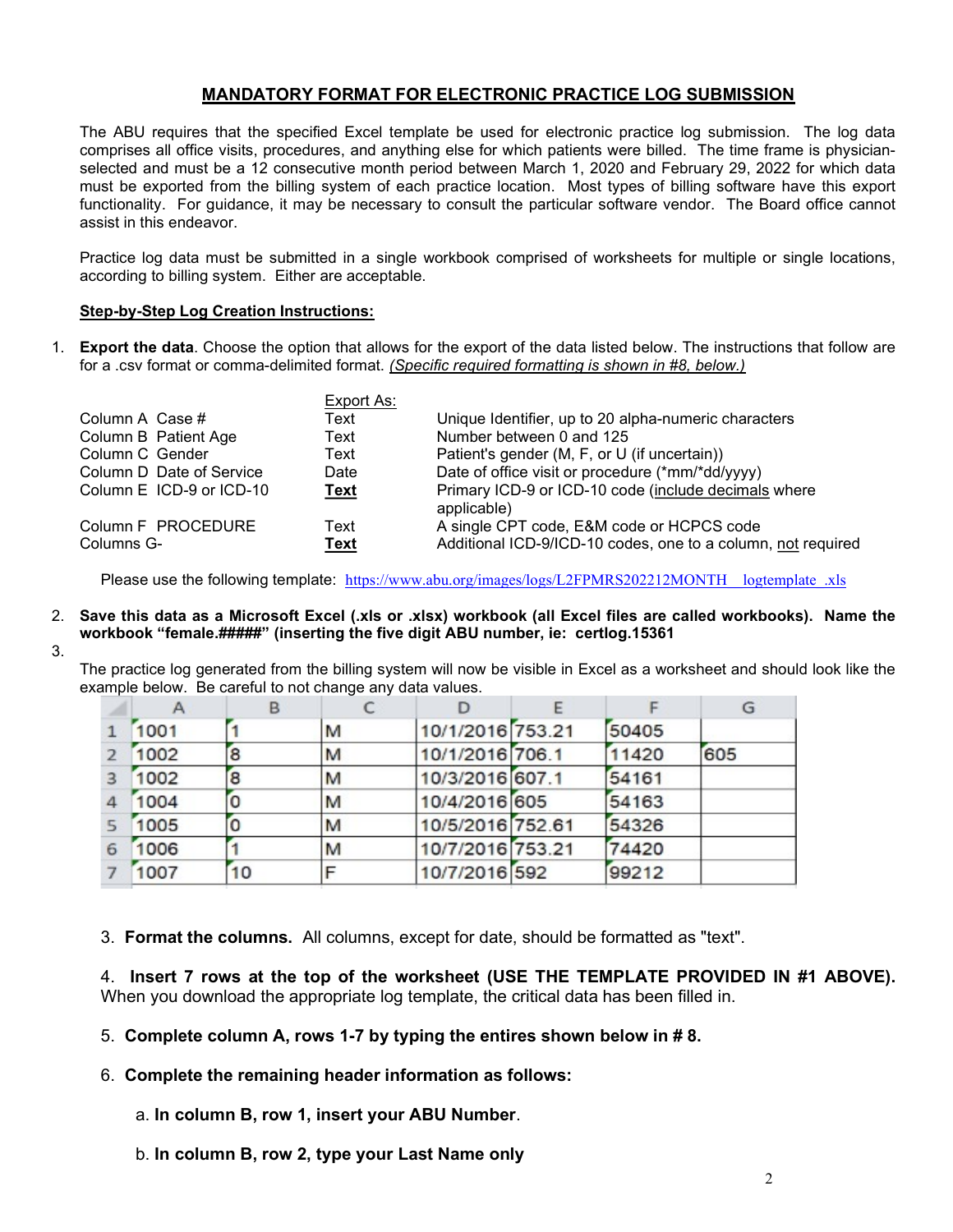# MANDATORY FORMAT FOR ELECTRONIC PRACTICE LOG SUBMISSION

The ABU requires that the specified Excel template be used for electronic practice log submission. The log data comprises all office visits, procedures, and anything else for which patients were billed. The time frame is physicianselected and must be a 12 consecutive month period between March 1, 2020 and February 29, 2022 for which data must be exported from the billing system of each practice location. Most types of billing software have this export functionality. For guidance, it may be necessary to consult the particular software vendor. The Board office cannot assist in this endeavor.

Practice log data must be submitted in a single workbook comprised of worksheets for multiple or single locations, according to billing system. Either are acceptable.

### Step-by-Step Log Creation Instructions:

1. Export the data. Choose the option that allows for the export of the data listed below. The instructions that follow are for a .csv format or comma-delimited format. (Specific required formatting is shown in #8, below.)

|                          | Export As:  |                                                              |
|--------------------------|-------------|--------------------------------------------------------------|
| Column A Case #          | Text        | Unique Identifier, up to 20 alpha-numeric characters         |
| Column B Patient Age     | Text        | Number between 0 and 125                                     |
| Column C Gender          | Text        | Patient's gender (M, F, or U (if uncertain))                 |
| Column D Date of Service | Date        | Date of office visit or procedure (*mm/*dd/yyyy)             |
| Column E ICD-9 or ICD-10 | <b>Text</b> | Primary ICD-9 or ICD-10 code (include decimals where         |
|                          |             | applicable)                                                  |
| Column F PROCEDURE       | Text        | A single CPT code, E&M code or HCPCS code                    |
| Columns G-               | Text        | Additional ICD-9/ICD-10 codes, one to a column, not required |

Please use the following template: https://www.abu.org/images/logs/L2FPMRS202212MONTH\_logtemplate\_.xls

- 2. Save this data as a Microsoft Excel (.xls or .xlsx) workbook (all Excel files are called workbooks). Name the workbook "female.#####" (inserting the five digit ABU number, ie: certlog.15361
- 3.

The practice log generated from the billing system will now be visible in Excel as a worksheet and should look like the example below. Be careful to not change any data values.

|                         |      | в  |   |                  |       | G   |
|-------------------------|------|----|---|------------------|-------|-----|
|                         | 1001 |    | M | 10/1/2016 753.21 | 50405 |     |
| $\overline{2}$          | 1002 | 8  | M | 10/1/2016 706.1  | 11420 | 605 |
| $\overline{\mathbf{3}}$ | 1002 | 8  | M | 10/3/2016 607.1  | 54161 |     |
| $\overline{a}$          | 1004 | 0  | M | 10/4/2016 605    | 54163 |     |
| $5^{\circ}$             | 1005 | O  | M | 10/5/2016 752.61 | 54326 |     |
| 6                       | 1006 |    | M | 10/7/2016 753.21 | 74420 |     |
|                         | 1007 | 10 |   | 10/7/2016 592    | 99212 |     |

3. Format the columns. All columns, except for date, should be formatted as "text".

4. Insert 7 rows at the top of the worksheet (USE THE TEMPLATE PROVIDED IN #1 ABOVE). When you download the appropriate log template, the critical data has been filled in.

- 5. Complete column A, rows 1-7 by typing the entires shown below in # 8.
- 6. Complete the remaining header information as follows:
	- a. In column B, row 1, insert your ABU Number.
	- b. In column B, row 2, type your Last Name only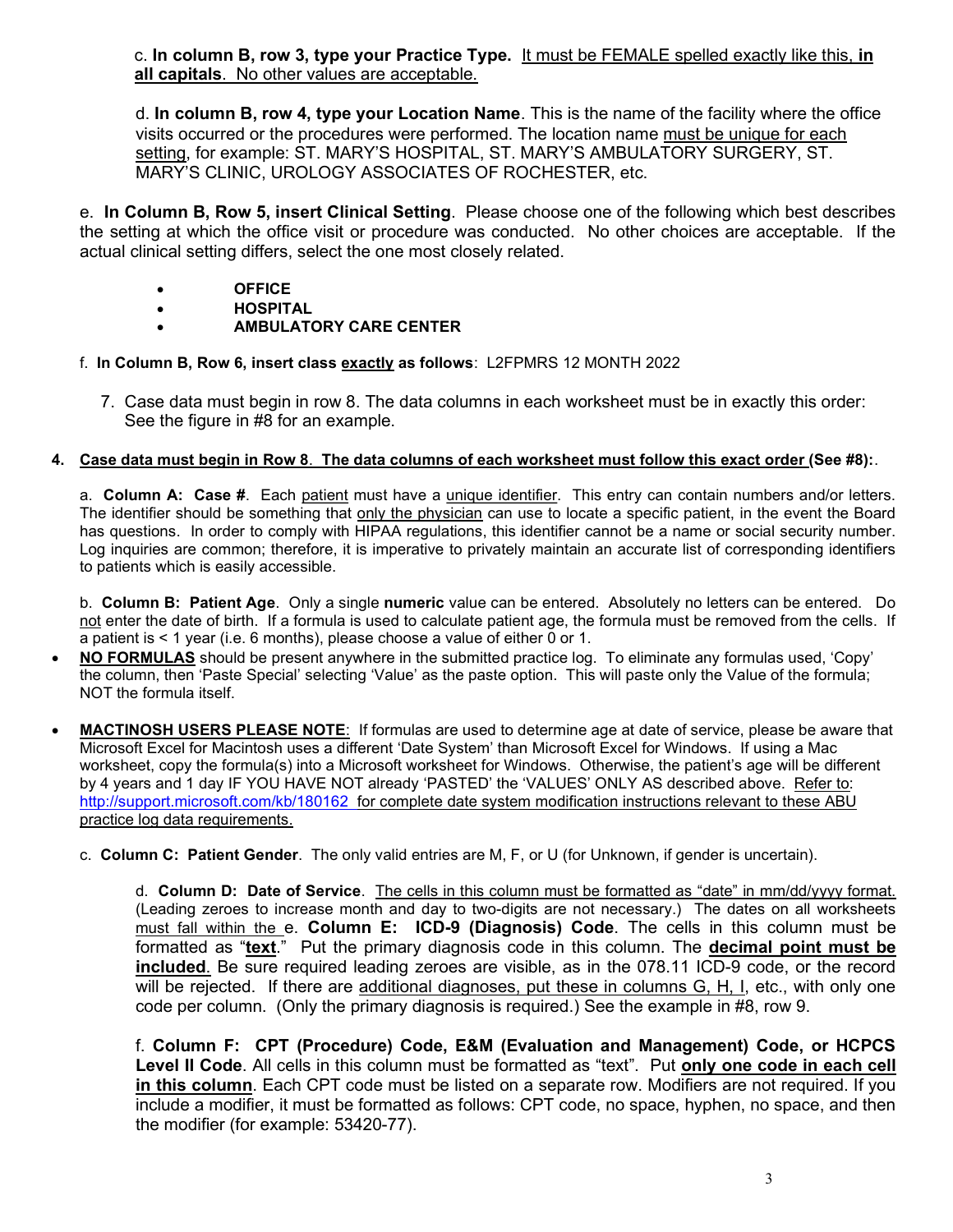c. In column B, row 3, type your Practice Type. It must be FEMALE spelled exactly like this, in all capitals. No other values are acceptable.

d. In column B, row 4, type your Location Name. This is the name of the facility where the office visits occurred or the procedures were performed. The location name must be unique for each setting, for example: ST. MARY'S HOSPITAL, ST. MARY'S AMBULATORY SURGERY, ST. MARY'S CLINIC, UROLOGY ASSOCIATES OF ROCHESTER, etc.

e. In Column B, Row 5, insert Clinical Setting. Please choose one of the following which best describes the setting at which the office visit or procedure was conducted. No other choices are acceptable. If the actual clinical setting differs, select the one most closely related.

- OFFICE
- HOSPITAL
- AMBULATORY CARE CENTER
- f. In Column B, Row 6, insert class exactly as follows: L2FPMRS 12 MONTH 2022
	- 7. Case data must begin in row 8. The data columns in each worksheet must be in exactly this order: See the figure in #8 for an example.

### 4. Case data must begin in Row 8. The data columns of each worksheet must follow this exact order (See #8):.

a. Column A: Case #. Each patient must have a unique identifier. This entry can contain numbers and/or letters. The identifier should be something that only the physician can use to locate a specific patient, in the event the Board has questions. In order to comply with HIPAA regulations, this identifier cannot be a name or social security number. Log inquiries are common; therefore, it is imperative to privately maintain an accurate list of corresponding identifiers to patients which is easily accessible.

b. Column B: Patient Age. Only a single numeric value can be entered. Absolutely no letters can be entered. Do not enter the date of birth. If a formula is used to calculate patient age, the formula must be removed from the cells. If a patient is < 1 year (i.e. 6 months), please choose a value of either 0 or 1.

- NO FORMULAS should be present anywhere in the submitted practice log. To eliminate any formulas used, 'Copy' the column, then 'Paste Special' selecting 'Value' as the paste option. This will paste only the Value of the formula; NOT the formula itself.
- MACTINOSH USERS PLEASE NOTE: If formulas are used to determine age at date of service, please be aware that Microsoft Excel for Macintosh uses a different 'Date System' than Microsoft Excel for Windows. If using a Mac worksheet, copy the formula(s) into a Microsoft worksheet for Windows. Otherwise, the patient's age will be different by 4 years and 1 day IF YOU HAVE NOT already 'PASTED' the 'VALUES' ONLY AS described above. Refer to: http://support.microsoft.com/kb/180162 for complete date system modification instructions relevant to these ABU practice log data requirements.
	- c. Column C: Patient Gender. The only valid entries are M, F, or U (for Unknown, if gender is uncertain).

d. Column D: Date of Service. The cells in this column must be formatted as "date" in mm/dd/yyyy format. (Leading zeroes to increase month and day to two-digits are not necessary.) The dates on all worksheets must fall within the e. Column E: ICD-9 (Diagnosis) Code. The cells in this column must be formatted as "text." Put the primary diagnosis code in this column. The decimal point must be included. Be sure required leading zeroes are visible, as in the 078.11 ICD-9 code, or the record will be rejected. If there are additional diagnoses, put these in columns G, H, I, etc., with only one code per column. (Only the primary diagnosis is required.) See the example in #8, row 9.

f. Column F: CPT (Procedure) Code, E&M (Evaluation and Management) Code, or HCPCS Level II Code. All cells in this column must be formatted as "text". Put only one code in each cell in this column. Each CPT code must be listed on a separate row. Modifiers are not required. If you include a modifier, it must be formatted as follows: CPT code, no space, hyphen, no space, and then the modifier (for example: 53420-77).